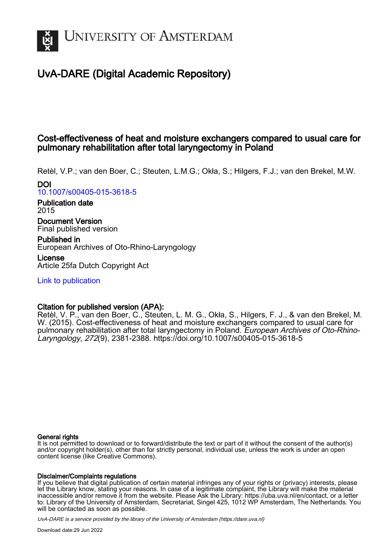

# UvA-DARE (Digital Academic Repository)

## Cost-effectiveness of heat and moisture exchangers compared to usual care for pulmonary rehabilitation after total laryngectomy in Poland

Retèl, V.P.; van den Boer, C.; Steuten, L.M.G.; Okła, S.; Hilgers, F.J.; van den Brekel, M.W. DOI

[10.1007/s00405-015-3618-5](https://doi.org/10.1007/s00405-015-3618-5)

Publication date 2015

Document Version Final published version

Published in European Archives of Oto-Rhino-Laryngology

License Article 25fa Dutch Copyright Act

[Link to publication](https://dare.uva.nl/personal/pure/en/publications/costeffectiveness-of-heat-and-moisture-exchangers-compared-to-usual-care-for-pulmonary-rehabilitation-after-total-laryngectomy-in-poland(c3353d56-7dce-4d08-8ae9-152f7fcf3f26).html)

## Citation for published version (APA):

Retèl, V. P., van den Boer, C., Steuten, L. M. G., Okła, S., Hilgers, F. J., & van den Brekel, M. W. (2015). Cost-effectiveness of heat and moisture exchangers compared to usual care for pulmonary rehabilitation after total laryngectomy in Poland. European Archives of Oto-Rhino-Laryngology, 272(9), 2381-2388.<https://doi.org/10.1007/s00405-015-3618-5>

### General rights

It is not permitted to download or to forward/distribute the text or part of it without the consent of the author(s) and/or copyright holder(s), other than for strictly personal, individual use, unless the work is under an open content license (like Creative Commons).

### Disclaimer/Complaints regulations

If you believe that digital publication of certain material infringes any of your rights or (privacy) interests, please let the Library know, stating your reasons. In case of a legitimate complaint, the Library will make the material inaccessible and/or remove it from the website. Please Ask the Library: https://uba.uva.nl/en/contact, or a letter to: Library of the University of Amsterdam, Secretariat, Singel 425, 1012 WP Amsterdam, The Netherlands. You will be contacted as soon as possible.

UvA-DARE is a service provided by the library of the University of Amsterdam (http*s*://dare.uva.nl)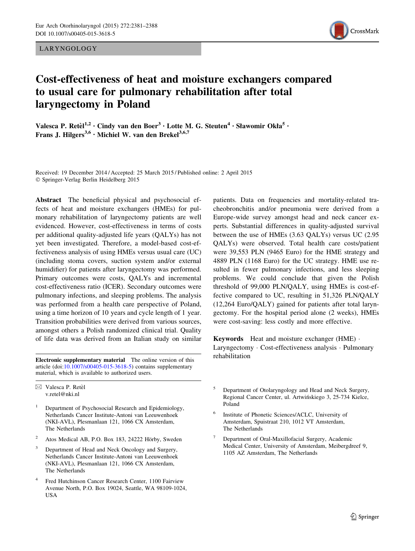LARYNGOLOGY



## Cost-effectiveness of heat and moisture exchangers compared to usual care for pulmonary rehabilitation after total laryngectomy in Poland

Valesca P. Retèl<sup>1,2</sup> · Cindy van den Boer<sup>3</sup> · Lotte M. G. Steuten<sup>4</sup> · Sławomir Okła<sup>5</sup> · Frans J. Hilgers<sup>3,6</sup> · Michiel W. van den Brekel<sup>3,6,7</sup>

Received: 19 December 2014 / Accepted: 25 March 2015 / Published online: 2 April 2015 - Springer-Verlag Berlin Heidelberg 2015

Abstract The beneficial physical and psychosocial effects of heat and moisture exchangers (HMEs) for pulmonary rehabilitation of laryngectomy patients are well evidenced. However, cost-effectiveness in terms of costs per additional quality-adjusted life years (QALYs) has not yet been investigated. Therefore, a model-based cost-effectiveness analysis of using HMEs versus usual care (UC) (including stoma covers, suction system and/or external humidifier) for patients after laryngectomy was performed. Primary outcomes were costs, QALYs and incremental cost-effectiveness ratio (ICER). Secondary outcomes were pulmonary infections, and sleeping problems. The analysis was performed from a health care perspective of Poland, using a time horizon of 10 years and cycle length of 1 year. Transition probabilities were derived from various sources, amongst others a Polish randomized clinical trial. Quality of life data was derived from an Italian study on similar

**Electronic supplementary material** The online version of this rehabilitation article (doi:[10.1007/s00405-015-3618-5\)](http://dx.doi.org/10.1007/s00405-015-3618-5) contains supplementary material, which is available to authorized users.

- <sup>1</sup> Department of Psychosocial Research and Epidemiology, Netherlands Cancer Institute-Antoni van Leeuwenhoek (NKI-AVL), Plesmanlaan 121, 1066 CX Amsterdam, The Netherlands
- <sup>2</sup> Atos Medical AB, P.O. Box 183, 24222 Hörby, Sweden
- <sup>3</sup> Department of Head and Neck Oncology and Surgery, Netherlands Cancer Institute-Antoni van Leeuwenhoek (NKI-AVL), Plesmanlaan 121, 1066 CX Amsterdam, The Netherlands
- <sup>4</sup> Fred Hutchinson Cancer Research Center, 1100 Fairview Avenue North, P.O. Box 19024, Seattle, WA 98109-1024, USA

patients. Data on frequencies and mortality-related tracheobronchitis and/or pneumonia were derived from a Europe-wide survey amongst head and neck cancer experts. Substantial differences in quality-adjusted survival between the use of HMEs (3.63 QALYs) versus UC (2.95 QALYs) were observed. Total health care costs/patient were 39,553 PLN (9465 Euro) for the HME strategy and 4889 PLN (1168 Euro) for the UC strategy. HME use resulted in fewer pulmonary infections, and less sleeping problems. We could conclude that given the Polish threshold of 99,000 PLN/QALY, using HMEs is cost-effective compared to UC, resulting in 51,326 PLN/QALY (12,264 Euro/QALY) gained for patients after total laryngectomy. For the hospital period alone (2 weeks), HMEs were cost-saving: less costly and more effective.

Keywords Heat and moisture exchanger (HME) - Laryngectomy - Cost-effectiveness analysis - Pulmonary

- <sup>5</sup> Department of Otolaryngology and Head and Neck Surgery, Regional Cancer Center, ul. Artwińskiego 3, 25-734 Kielce, Poland
- Institute of Phonetic Sciences/ACLC, University of Amsterdam, Spuistraat 210, 1012 VT Amsterdam, The Netherlands
- Department of Oral-Maxillofacial Surgery, Academic Medical Center, University of Amsterdam, Meibergdreef 9, 1105 AZ Amsterdam, The Netherlands

 $\boxtimes$  Valesca P. Retèl v.retel@nki.nl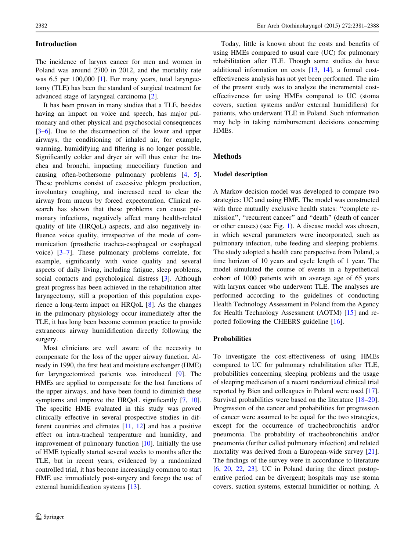#### Introduction

The incidence of larynx cancer for men and women in Poland was around 2700 in 2012, and the mortality rate was 6.5 per 100,000 [\[1](#page-8-0)]. For many years, total laryngectomy (TLE) has been the standard of surgical treatment for advanced stage of laryngeal carcinoma [[2\]](#page-8-0).

It has been proven in many studies that a TLE, besides having an impact on voice and speech, has major pulmonary and other physical and psychosocial consequences [\[3–6](#page-8-0)]. Due to the disconnection of the lower and upper airways, the conditioning of inhaled air, for example, warming, humidifying and filtering is no longer possible. Significantly colder and dryer air will thus enter the trachea and bronchi, impacting mucociliary function and causing often-bothersome pulmonary problems [[4,](#page-8-0) [5](#page-8-0)]. These problems consist of excessive phlegm production, involuntary coughing, and increased need to clear the airway from mucus by forced expectoration. Clinical research has shown that these problems can cause pulmonary infections, negatively affect many health-related quality of life (HRQoL) aspects, and also negatively influence voice quality, irrespective of the mode of communication (prosthetic trachea-esophageal or esophageal voice) [\[3–7](#page-8-0)]. These pulmonary problems correlate, for example, significantly with voice quality and several aspects of daily living, including fatigue, sleep problems, social contacts and psychological distress [[3\]](#page-8-0). Although great progress has been achieved in the rehabilitation after laryngectomy, still a proportion of this population experience a long-term impact on HRQoL [[8\]](#page-8-0). As the changes in the pulmonary physiology occur immediately after the TLE, it has long been become common practice to provide extraneous airway humidification directly following the surgery.

Most clinicians are well aware of the necessity to compensate for the loss of the upper airway function. Already in 1990, the first heat and moisture exchanger (HME) for laryngectomized patients was introduced [[9](#page-8-0)]. The HMEs are applied to compensate for the lost functions of the upper airways, and have been found to diminish these symptoms and improve the HRQoL significantly [[7,](#page-8-0) [10](#page-8-0)]. The specific HME evaluated in this study was proved clinically effective in several prospective studies in different countries and climates [[11,](#page-8-0) [12](#page-8-0)] and has a positive effect on intra-tracheal temperature and humidity, and improvement of pulmonary function [\[10](#page-8-0)]. Initially the use of HME typically started several weeks to months after the TLE, but in recent years, evidenced by a randomized controlled trial, it has become increasingly common to start HME use immediately post-surgery and forego the use of external humidification systems [[13\]](#page-8-0).

## Today, little is known about the costs and benefits of using HMEs compared to usual care (UC) for pulmonary rehabilitation after TLE. Though some studies do have additional information on costs [\[13](#page-8-0), [14](#page-8-0)], a formal costeffectiveness analysis has not yet been performed. The aim of the present study was to analyze the incremental costeffectiveness for using HMEs compared to UC (stoma covers, suction systems and/or external humidifiers) for patients, who underwent TLE in Poland. Such information may help in taking reimbursement decisions concerning HMEs.

#### Methods

#### Model description

A Markov decision model was developed to compare two strategies: UC and using HME. The model was constructed with three mutually exclusive health states: ''complete remission", "recurrent cancer" and "death" (death of cancer or other causes) (see Fig. [1\)](#page-3-0). A disease model was chosen, in which several parameters were incorporated, such as pulmonary infection, tube feeding and sleeping problems. The study adopted a health care perspective from Poland, a time horizon of 10 years and cycle length of 1 year. The model simulated the course of events in a hypothetical cohort of 1000 patients with an average age of 65 years with larynx cancer who underwent TLE. The analyses are performed according to the guidelines of conducting Health Technology Assessment in Poland from the Agency for Health Technology Assessment (AOTM) [[15\]](#page-8-0) and reported following the CHEERS guideline [\[16](#page-8-0)].

#### Probabilities

To investigate the cost-effectiveness of using HMEs compared to UC for pulmonary rehabilitation after TLE, probabilities concerning sleeping problems and the usage of sleeping medication of a recent randomized clinical trial reported by Bien and colleagues in Poland were used [\[17](#page-8-0)]. Survival probabilities were based on the literature [\[18–20](#page-8-0)]. Progression of the cancer and probabilities for progression of cancer were assumed to be equal for the two strategies, except for the occurrence of tracheobronchitis and/or pneumonia. The probability of tracheobronchitis and/or pneumonia (further called pulmonary infection) and related mortality was derived from a European-wide survey [\[21](#page-8-0)]. The findings of the survey were in accordance to literature  $[6, 20, 22, 23]$  $[6, 20, 22, 23]$  $[6, 20, 22, 23]$  $[6, 20, 22, 23]$  $[6, 20, 22, 23]$  $[6, 20, 22, 23]$  $[6, 20, 22, 23]$ . UC in Poland during the direct postoperative period can be divergent; hospitals may use stoma covers, suction systems, external humidifier or nothing. A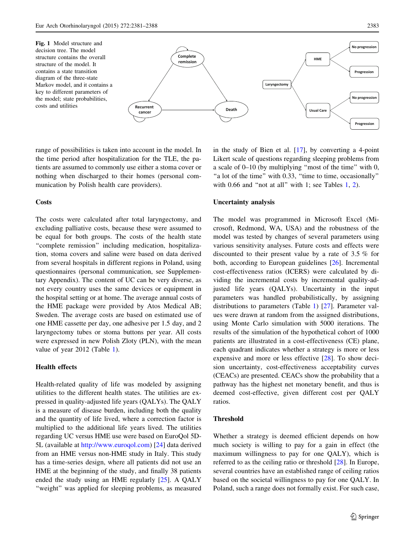<span id="page-3-0"></span>

range of possibilities is taken into account in the model. In the time period after hospitalization for the TLE, the patients are assumed to commonly use either a stoma cover or nothing when discharged to their homes (personal communication by Polish health care providers).

#### **Costs**

The costs were calculated after total laryngectomy, and excluding palliative costs, because these were assumed to be equal for both groups. The costs of the health state ''complete remission'' including medication, hospitalization, stoma covers and saline were based on data derived from several hospitals in different regions in Poland, using questionnaires (personal communication, see Supplementary Appendix). The content of UC can be very diverse, as not every country uses the same devices or equipment in the hospital setting or at home. The average annual costs of the HME package were provided by Atos Medical AB; Sweden. The average costs are based on estimated use of one HME cassette per day, one adhesive per 1.5 day, and 2 laryngectomy tubes or stoma buttons per year. All costs were expressed in new Polish Zloty (PLN), with the mean value of year 2012 (Table [1](#page-4-0)).

#### Health effects

Health-related quality of life was modeled by assigning utilities to the different health states. The utilities are expressed in quality-adjusted life years (QALYs). The QALY is a measure of disease burden, including both the quality and the quantity of life lived, where a correction factor is multiplied to the additional life years lived. The utilities regarding UC versus HME use were based on EuroQol 5D-5L (available at [http://www.euroqol.com\)](http://www.euroqol.com) [\[24](#page-8-0)] data derived from an HME versus non-HME study in Italy. This study has a time-series design, where all patients did not use an HME at the beginning of the study, and finally 38 patients ended the study using an HME regularly [\[25](#page-8-0)]. A QALY ''weight'' was applied for sleeping problems, as measured in the study of Bien et al. [\[17](#page-8-0)], by converting a 4-point Likert scale of questions regarding sleeping problems from a scale of 0–10 (by multiplying ''most of the time'' with 0, "a lot of the time" with 0.33, "time to time, occasionally" with 0.66 and "not at all" with [1](#page-4-0); see Tables  $1, 2$  $1, 2$ ).

#### Uncertainty analysis

The model was programmed in Microsoft Excel (Microsoft, Redmond, WA, USA) and the robustness of the model was tested by changes of several parameters using various sensitivity analyses. Future costs and effects were discounted to their present value by a rate of 3.5 % for both, according to European guidelines [[26](#page-8-0)]. Incremental cost-effectiveness ratios (ICERS) were calculated by dividing the incremental costs by incremental quality-adjusted life years (QALYs). Uncertainty in the input parameters was handled probabilistically, by assigning distributions to parameters (Table [1\)](#page-4-0) [\[27](#page-8-0)]. Parameter values were drawn at random from the assigned distributions, using Monte Carlo simulation with 5000 iterations. The results of the simulation of the hypothetical cohort of 1000 patients are illustrated in a cost-effectiveness (CE) plane, each quadrant indicates whether a strategy is more or less expensive and more or less effective [\[28](#page-8-0)]. To show decision uncertainty, cost-effectiveness acceptability curves (CEACs) are presented. CEACs show the probability that a pathway has the highest net monetary benefit, and thus is deemed cost-effective, given different cost per QALY ratios.

#### Threshold

Whether a strategy is deemed efficient depends on how much society is willing to pay for a gain in effect (the maximum willingness to pay for one QALY), which is referred to as the ceiling ratio or threshold [\[28](#page-8-0)]. In Europe, several countries have an established range of ceiling ratios based on the societal willingness to pay for one QALY. In Poland, such a range does not formally exist. For such case,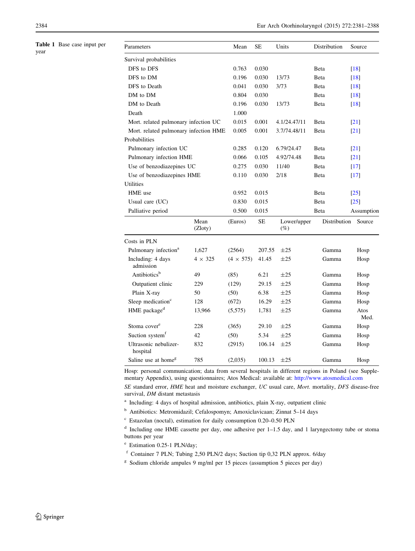<span id="page-4-0"></span>Table 1 Base case input per year

| Parameters                            |                 | Mean             | <b>SE</b>    | Units                 | Distribution       | Source             |
|---------------------------------------|-----------------|------------------|--------------|-----------------------|--------------------|--------------------|
| Survival probabilities                |                 |                  |              |                       |                    |                    |
| DFS to DFS                            |                 | 0.763            | 0.030        |                       | Beta               | $[18]$             |
| DFS to DM                             |                 | 0.196            | 0.030        | 13/73                 | Beta               | $\lceil 18 \rceil$ |
| DFS to Death                          |                 | 0.041            | 0.030        | 3/73                  | <b>B</b> eta       | $[18]$             |
| DM to DM                              |                 | 0.804            | 0.030        |                       | Beta               | $[18]$             |
| DM to Death                           |                 | 0.196            | 0.030        | 13/73                 | Beta               | $[18]$             |
| Death                                 |                 | 1.000            |              |                       |                    |                    |
| Mort. related pulmonary infection UC  |                 | 0.015            | 0.001        | 4.1/24.47/11          | Beta               | $\lceil 21 \rceil$ |
| Mort. related pulmonary infection HME | 0.005           | 0.001            | 3.7/74.48/11 | Beta                  | $[21]$             |                    |
| Probabilities                         |                 |                  |              |                       |                    |                    |
| Pulmonary infection UC                | 0.285           | 0.120            | 6.79/24.47   | Beta                  | $\lceil 21 \rceil$ |                    |
| Pulmonary infection HME               | 0.066           | 0.105            | 4.92/74.48   | Beta                  | $\left[21\right]$  |                    |
| Use of benzodiazepines UC             |                 | 0.275            | 0.030        | 11/40                 | Beta               | $[17]$             |
| Use of benzodiazepines HME            |                 | 0.110            | 0.030        | 2/18                  | Beta               | $[17]$             |
| <b>Utilities</b>                      |                 |                  |              |                       |                    |                    |
| HME use                               |                 | 0.952            | 0.015        |                       | Beta               | $\lceil 25 \rceil$ |
| Usual care (UC)                       |                 | 0.830            | 0.015        |                       | <b>B</b> eta       | $[25]$             |
| Palliative period                     |                 | 0.500            | 0.015        |                       | Beta               | Assumption         |
|                                       | Mean<br>(Zloty) | (Euros)          | SЕ           | Lower/upper<br>$(\%)$ | Distribution       | Source             |
| Costs in PLN                          |                 |                  |              |                       |                    |                    |
| Pulmonary infection <sup>a</sup>      | 1,627           | (2564)           | 207.55       | $\pm 25$              | Gamma              | Hosp               |
| Including: 4 days<br>admission        | $4 \times 325$  | $(4 \times 575)$ | 41.45        | $\pm 25$              | Gamma              | Hosp               |
| Antibiotics <sup>b</sup>              | 49              | (85)             | 6.21         | $\pm 25$              | Gamma              | Hosp               |
| Outpatient clinic                     | 229             | (129)            | 29.15        | $\pm 25$              | Gamma              | Hosp               |
| Plain X-ray                           | 50              | (50)             | 6.38         | $\pm 25$              | Gamma              | Hosp               |
| Sleep medication <sup>c</sup>         | 128             | (672)            | 16.29        | $\pm 25$              | Gamma              | Hosp               |
| HME package <sup>d</sup>              | 13,966          | (5,575)          | 1,781        | $\pm 25$              | Gamma              | Atos<br>Med.       |
| Stoma cover <sup>e</sup>              | 228             | (365)            | 29.10        | $\pm 25$              | Gamma              | Hosp               |
| Suction system <sup>f</sup>           | 42              | (50)             | 5.34         | $\pm 25$              | Gamma              | Hosp               |
| Ultrasonic nebulizer-<br>hospital     | 832             | (2915)           | 106.14       | $\pm 25$              | Gamma              | Hosp               |
| Saline use at home <sup>g</sup>       | 785             | (2,035)          | 100.13       | $\pm 25$              | Gamma              | Hosp               |

Hosp: personal communication; data from several hospitals in different regions in Poland (see Supplementary Appendix), using questionnaires; Atos Medical: available at: <http://www.atosmedical.com>

SE standard error, HME heat and moisture exchanger, UC usual care, Mort. mortality, DFS disease-free survival, DM distant metastasis

<sup>a</sup> Including: 4 days of hospital admission, antibiotics, plain X-ray, outpatient clinic

<sup>b</sup> Antibiotics: Metromidazil; Cefalospomyn; Amoxiclavicaan; Zinnat 5–14 days

<sup>c</sup> Estazolan (noctal), estimation for daily consumption 0.20–0.50 PLN

<sup>d</sup> Including one HME cassette per day, one adhesive per 1–1.5 day, and 1 laryngectomy tube or stoma buttons per year

<sup>e</sup> Estimation 0.25-1 PLN/day;

<sup>f</sup> Container 7 PLN; Tubing 2,50 PLN/2 days; Suction tip 0,32 PLN approx. 6/day

<sup>g</sup> Sodium chloride ampules 9 mg/ml per 15 pieces (assumption 5 pieces per day)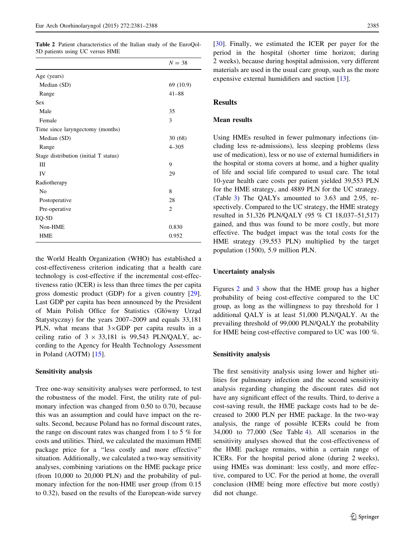<span id="page-5-0"></span>Table 2 Patient characteristics of the Italian study of the EuroQol-5D patients using UC versus HME

|                                       | $N = 38$       |
|---------------------------------------|----------------|
| Age (years)                           |                |
| Median (SD)                           | 69 (10.9)      |
| Range                                 | $41 - 88$      |
| <b>Sex</b>                            |                |
| Male                                  | 35             |
| Female                                | 3              |
| Time since laryngectomy (months)      |                |
| Median (SD)                           | 30(68)         |
| Range                                 | $4 - 305$      |
| Stage distribution (initial T status) |                |
| Ш                                     | 9              |
| IV                                    | 29             |
| Radiotherapy                          |                |
| N <sub>0</sub>                        | 8              |
| Postoperative                         | 28             |
| Pre-operative                         | $\overline{c}$ |
| EQ-5D                                 |                |
| Non-HME                               | 0.830          |
| <b>HME</b>                            | 0.952          |

the World Health Organization (WHO) has established a cost-effectiveness criterion indicating that a health care technology is cost-effective if the incremental cost-effectiveness ratio (ICER) is less than three times the per capita gross domestic product (GDP) for a given country [\[29](#page-8-0)]. Last GDP per capita has been announced by the President of Main Polish Office for Statistics (Główny Urząd Statystyczny) for the years 2007–2009 and equals 33,181 PLN, what means that  $3\times$ GDP per capita results in a ceiling ratio of  $3 \times 33,181$  is 99,543 PLN/QALY, according to the Agency for Health Technology Assessment in Poland (AOTM) [[15\]](#page-8-0).

#### Sensitivity analysis

Tree one-way sensitivity analyses were performed, to test the robustness of the model. First, the utility rate of pulmonary infection was changed from 0.50 to 0.70, because this was an assumption and could have impact on the results. Second, because Poland has no formal discount rates, the range on discount rates was changed from 1 to 5 % for costs and utilities. Third, we calculated the maximum HME package price for a ''less costly and more effective'' situation. Additionally, we calculated a two-way sensitivity analyses, combining variations on the HME package price (from 10,000 to 20,000 PLN) and the probability of pulmonary infection for the non-HME user group (from 0.15 to 0.32), based on the results of the European-wide survey

[\[30](#page-8-0)]. Finally, we estimated the ICER per payer for the period in the hospital (shorter time horizon; during 2 weeks), because during hospital admission, very different materials are used in the usual care group, such as the more expensive external humidifiers and suction [\[13](#page-8-0)].

#### Results

#### Mean results

Using HMEs resulted in fewer pulmonary infections (including less re-admissions), less sleeping problems (less use of medication), less or no use of external humidifiers in the hospital or stoma covers at home, and a higher quality of life and social life compared to usual care. The total 10-year health care costs per patient yielded 39,553 PLN for the HME strategy, and 4889 PLN for the UC strategy. (Table [3\)](#page-6-0) The QALYs amounted to 3.63 and 2.95, respectively. Compared to the UC strategy, the HME strategy resulted in 51,326 PLN/QALY (95 % CI 18,037–51,517) gained, and thus was found to be more costly, but more effective. The budget impact was the total costs for the HME strategy (39,553 PLN) multiplied by the target population (1500), 5.9 million PLN.

#### Uncertainty analysis

Figures [2](#page-6-0) and [3](#page-6-0) show that the HME group has a higher probability of being cost-effective compared to the UC group, as long as the willingness to pay threshold for 1 additional QALY is at least 51,000 PLN/QALY. At the prevailing threshold of 99,000 PLN/QALY the probability for HME being cost-effective compared to UC was 100 %.

#### Sensitivity analysis

The first sensitivity analysis using lower and higher utilities for pulmonary infection and the second sensitivity analysis regarding changing the discount rates did not have any significant effect of the results. Third, to derive a cost-saving result, the HME package costs had to be decreased to 2000 PLN per HME package. In the two-way analysis, the range of possible ICERs could be from 34,000 to 77,000 (See Table [4](#page-7-0)). All scenarios in the sensitivity analyses showed that the cost-effectiveness of the HME package remains, within a certain range of ICERs. For the hospital period alone (during 2 weeks), using HMEs was dominant: less costly, and more effective, compared to UC. For the period at home, the overall conclusion (HME being more effective but more costly) did not change.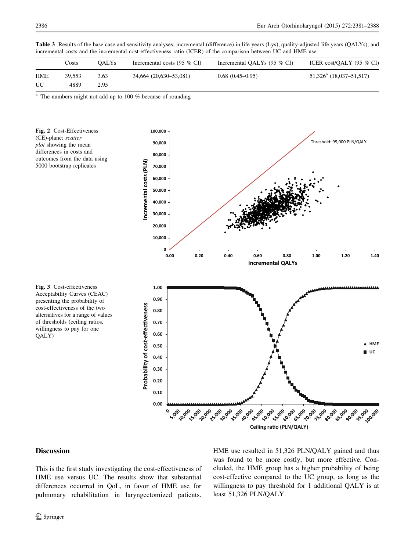| incremental costs and the incremental cost-effectiveness ratio (feeler) of the comparison occween OC and finite use |        |                   |                                       |                               |                            |  |  |
|---------------------------------------------------------------------------------------------------------------------|--------|-------------------|---------------------------------------|-------------------------------|----------------------------|--|--|
|                                                                                                                     | Costs  | OALY <sub>s</sub> | Incremental costs $(95\% \text{ CI})$ | Incremental OALYs $(95\%$ CI) | ICER cost/OALY $(95\%$ CI) |  |  |
| <b>HME</b>                                                                                                          | 39.553 | 3.63              | 34,664 (20,630–53,081)                | $0.68(0.45-0.95)$             | $51,326^a$ (18,037–51,517) |  |  |
| UC                                                                                                                  | 4889   | 2.95              |                                       |                               |                            |  |  |

<span id="page-6-0"></span>Table 3 Results of the base case and sensitivity analyses; incremental (difference) in life years (Lys), quality-adjusted life years (QALYs), and incremental costs and the incremental cost-effectiveness ratio (ICER) of the comparison between UC and HME use

The numbers might not add up to  $100\%$  because of rounding





## cost-effectiveness of the two alternatives for a range of values of thresholds (ceiling ratios, willingness to pay for one QALY)

Fig. 3 Cost-effectiveness Acceptability Curves (CEAC) presenting the probability of

#### Discussion

This is the first study investigating the cost-effectiveness of HME use versus UC. The results show that substantial differences occurred in QoL, in favor of HME use for pulmonary rehabilitation in laryngectomized patients. HME use resulted in 51,326 PLN/QALY gained and thus was found to be more costly, but more effective. Concluded, the HME group has a higher probability of being cost-effective compared to the UC group, as long as the willingness to pay threshold for 1 additional QALY is at least 51,326 PLN/QALY.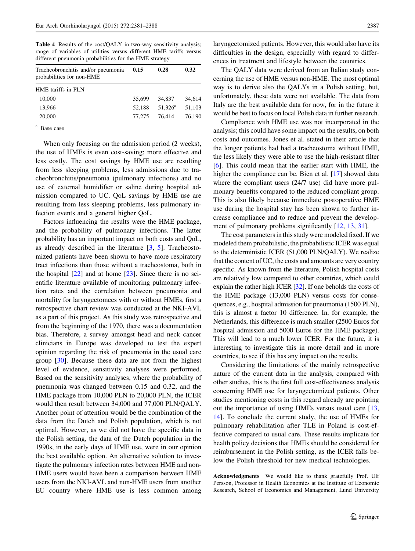<span id="page-7-0"></span>Table 4 Results of the cost/QALY in two-way sensitivity analysis; range of variables of utilities versus different HME tariffs versus different pneumonia probabilities for the HME strategy

| Tracheobronchitis and/or pneumonia<br>probabilities for non-HME | 0.15   | 0.28             | 0.32   |  |
|-----------------------------------------------------------------|--------|------------------|--------|--|
| HME tariffs in PLN                                              |        |                  |        |  |
| 10,000                                                          | 35,699 | 34,837           | 34.614 |  |
| 13.966                                                          | 52.188 | $51.326^{\rm a}$ | 51.103 |  |
| 20,000                                                          | 77,275 | 76.414           | 76,190 |  |
| $\sim$                                                          |        |                  |        |  |

<sup>a</sup> Base case

When only focusing on the admission period (2 weeks), the use of HMEs is even cost-saving; more effective and less costly. The cost savings by HME use are resulting from less sleeping problems, less admissions due to tracheobronchitis/pneumonia (pulmonary infections) and no use of external humidifier or saline during hospital admission compared to UC. QoL savings by HME use are resulting from less sleeping problems, less pulmonary infection events and a general higher QoL.

Factors influencing the results were the HME package, and the probability of pulmonary infections. The latter probability has an important impact on both costs and QoL, as already described in the literature [[3,](#page-8-0) [5\]](#page-8-0). Tracheostomized patients have been shown to have more respiratory tract infections than those without a tracheostoma, both in the hospital  $[22]$  $[22]$  and at home  $[23]$  $[23]$ . Since there is no scientific literature available of monitoring pulmonary infection rates and the correlation between pneumonia and mortality for laryngectomees with or without HMEs, first a retrospective chart review was conducted at the NKI-AVL as a part of this project. As this study was retrospective and from the beginning of the 1970, there was a documentation bias. Therefore, a survey amongst head and neck cancer clinicians in Europe was developed to test the expert opinion regarding the risk of pneumonia in the usual care group [\[30](#page-8-0)]. Because these data are not from the highest level of evidence, sensitivity analyses were performed. Based on the sensitivity analyses, where the probability of pneumonia was changed between 0.15 and 0.32, and the HME package from 10,000 PLN to 20,000 PLN, the ICER would then result between 34,000 and 77,000 PLN/QALY. Another point of attention would be the combination of the data from the Dutch and Polish population, which is not optimal. However, as we did not have the specific data in the Polish setting, the data of the Dutch population in the 1990s, in the early days of HME use, were in our opinion the best available option. An alternative solution to investigate the pulmonary infection rates between HME and non-HME users would have been a comparison between HME users from the NKI-AVL and non-HME users from another EU country where HME use is less common among

laryngectomized patients. However, this would also have its difficulties in the design, especially with regard to differences in treatment and lifestyle between the countries.

The QALY data were derived from an Italian study concerning the use of HME versus non-HME. The most optimal way is to derive also the QALYs in a Polish setting, but, unfortunately, these data were not available. The data from Italy are the best available data for now, for in the future it would be best to focus on local Polish data in further research.

Compliance with HME use was not incorporated in the analysis; this could have some impact on the results, on both costs and outcomes. Jones et al. stated in their article that the longer patients had had a tracheostoma without HME, the less likely they were able to use the high-resistant filter [\[6](#page-8-0)]. This could mean that the earlier start with HME, the higher the compliance can be. Bien et al. [\[17](#page-8-0)] showed data where the compliant users (24/7 use) did have more pulmonary benefits compared to the reduced compliant group. This is also likely because immediate postoperative HME use during the hospital stay has been shown to further increase compliance and to reduce and prevent the develop-ment of pulmonary problems significantly [[12,](#page-8-0) [13](#page-8-0), [31\]](#page-8-0).

The cost parameters in this study were modeled fixed. If we modeled them probabilistic, the probabilistic ICER was equal to the deterministic ICER (51,000 PLN/QALY). We realize that the content of UC, the costs and amounts are very country specific. As known from the literature, Polish hospital costs are relatively low compared to other countries, which could explain the rather high ICER [\[32](#page-8-0)]. If one beholds the costs of the HME package (13,000 PLN) versus costs for consequences, e.g., hospital admission for pneumonia (1500 PLN), this is almost a factor 10 difference. In, for example, the Netherlands, this difference is much smaller (2500 Euros for hospital admission and 5000 Euros for the HME package). This will lead to a much lower ICER. For the future, it is interesting to investigate this in more detail and in more countries, to see if this has any impact on the results.

Considering the limitations of the mainly retrospective nature of the current data in the analysis, compared with other studies, this is the first full cost-effectiveness analysis concerning HME use for laryngectomized patients. Other studies mentioning costs in this regard already are pointing out the importance of using HMEs versus usual care [[13,](#page-8-0) [14](#page-8-0)]. To conclude the current study, the use of HMEs for pulmonary rehabilitation after TLE in Poland is cost-effective compared to usual care. These results implicate for health policy decisions that HMEs should be considered for reimbursement in the Polish setting, as the ICER falls below the Polish threshold for new medical technologies.

Acknowledgments We would like to thank gratefully Prof. Ulf Persson, Professor in Health Economics at the Institute of Economic Research, School of Economics and Management, Lund University